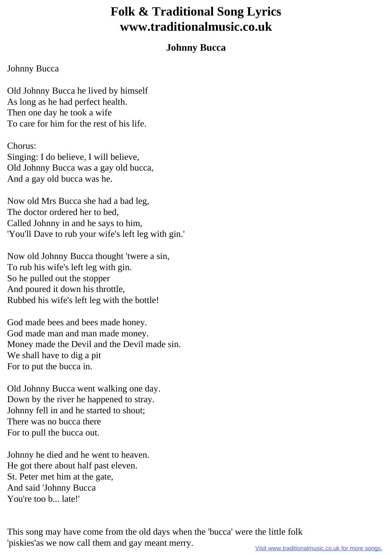## **Folk & Traditional Song Lyrics www.traditionalmusic.co.uk**

## **Johnny Bucca**

## Johnny Bucca

Old Johnny Bucca he lived by himself As long as he had perfect health. Then one day he took a wife To care for him for the rest of his life.

## Chorus:

Singing: I do believe, I will believe, Old Johnny Bucca was a gay old bucca, And a gay old bucca was he.

Now old Mrs Bucca she had a bad leg, The doctor ordered her to bed, Called Johnny in and he says to him, 'You'll Dave to rub your wife's left leg with gin.'

Now old Johnny Bucca thought 'twere a sin, To rub his wife's left leg with gin. So he pulled out the stopper And poured it down his throttle, Rubbed his wife's left leg with the bottle!

God made bees and bees made honey. God made man and man made money. Money made the Devil and the Devil made sin. We shall have to dig a pit For to put the bucca in.

Old Johnny Bucca went walking one day. Down by the river he happened to stray. Johnny fell in and he started to shout; There was no bucca there For to pull the bucca out.

Johnny he died and he went to heaven. He got there about half past eleven. St. Peter met him at the gate, And said 'Johnny Bucca You're too b... late!'

This song may have come from the old days when the 'bucca' were the little folk 'piskies'as we now call them and gay meant merry.